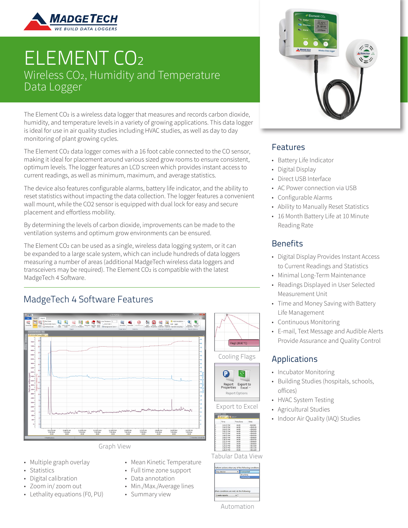

# ELEMENT CO2 Wireless CO2, Humidity and Temperature Data Logger

The Element CO2 is a wireless data logger that measures and records carbon dioxide, humidity, and temperature levels in a variety of growing applications. This data logger is ideal for use in air quality studies including HVAC studies, as well as day to day monitoring of plant growing cycles.

The Element CO2 data logger comes with a 16 foot cable connected to the CO sensor, making it ideal for placement around various sized grow rooms to ensure consistent, optimum levels. The logger features an LCD screen which provides instant access to current readings, as well as minimum, maximum, and average statistics.

The device also features configurable alarms, battery life indicator, and the ability to reset statistics without impacting the data collection. The logger features a convenient wall mount, while the CO2 sensor is equipped with dual lock for easy and secure placement and effortless mobility.

By determining the levels of carbon dioxide, improvements can be made to the ventilation systems and optimum grow environments can be ensured.

The Element CO2 can be used as a single, wireless data logging system, or it can be expanded to a large scale system, which can include hundreds of data loggers measuring a number of areas (additional MadgeTech wireless data loggers and transceivers may be required). The Element CO<sub>2</sub> is compatible with the latest MadgeTech 4 Software.

## MadgeTech 4 Software Features





- Statistics
- Digital calibration
- Zoom in/ zoom out
- Lethality equations (F0, PU)
- Mean Kinetic Temperature
- Full time zone support
- Data annotation
- Min./Max./Average lines
- Summary view



#### Features

- Battery Life Indicator
- Digital Display
- Direct USB Interface
- AC Power connection via USB
- Configurable Alarms
- Ability to Manually Reset Statistics
- 16 Month Battery Life at 10 Minute Reading Rate

#### **Benefits**

- Digital Display Provides Instant Access to Current Readings and Statistics
- Minimal Long-Term Maintenance
- Readings Displayed in User Selected Measurement Unit
- Time and Money Saving with Battery Life Management
- Continuous Monitoring
- E-mail, Text Message and Audible Alerts Provide Assurance and Quality Control

#### Applications

- Incubator Monitoring
- Building Studies (hospitals, schools, offices)
- HVAC System Testing
- Agricultural Studies
- Indoor Air Quality (IAQ) Studies

Tabular Data View

 $\begin{array}{l} -0.0000 \\ +0.0100 \\ +0.0120 \\ +0.0200 \\ +0.0330 \\ +0.0330 \\ +0.0560 \\ +0.0560 \\ +0.0770 \\ +0.0770 \\ +0.03080 \\ +0.00070 \\ +0.00080 \\ +0.00080 \\ +0.00080 \\ +0.00080 \\ +0.00080 \\ +0.00080 \\ +0.00080 \\ +0.00080 \\ +0.00080 \\ +0.00080 \\ +0.00080 \\ +0.00080 \\ +0.0008$ 

| Any device     | Connected                                  |
|----------------|--------------------------------------------|
|                | At a time                                  |
|                | Connected                                  |
|                |                                            |
|                |                                            |
|                |                                            |
|                |                                            |
|                |                                            |
|                |                                            |
| Create reports | Then conditions are met, do the following: |

Automation